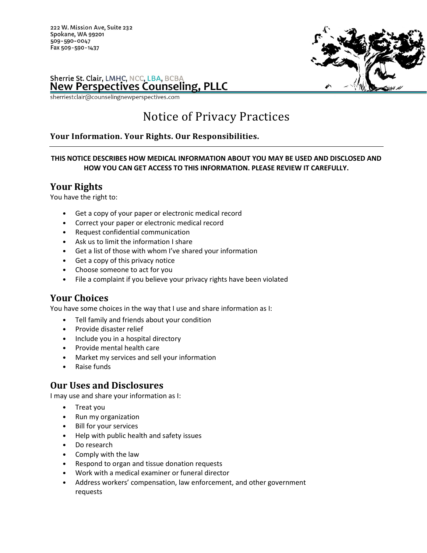222 W. Mission Ave, Suite 232 Spokane, WA 99201 509-590-0047 Fax 509-590-1437



#### Sherrie St. Clair, LMHC, NCC, LBA, BCBA **New Perspectives Counseling, PLLC**

sherriestclair@counselingnewperspectives.com

# Notice of Privacy Practices

### Your Information. Your Rights. Our Responsibilities.

#### THIS NOTICE DESCRIBES HOW MEDICAL INFORMATION ABOUT YOU MAY BE USED AND DISCLOSED AND HOW YOU CAN GET ACCESS TO THIS INFORMATION. PLEASE REVIEW IT CAREFULLY.

## Your Rights

You have the right to:

- Get a copy of your paper or electronic medical record
- Correct your paper or electronic medical record
- Request confidential communication
- Ask us to limit the information I share
- Get a list of those with whom I've shared your information
- Get a copy of this privacy notice
- Choose someone to act for you
- File a complaint if you believe your privacy rights have been violated

## Your Choices

You have some choices in the way that I use and share information as I:

- Tell family and friends about your condition
- Provide disaster relief
- Include you in a hospital directory
- Provide mental health care
- Market my services and sell your information
- Raise funds

## Our Uses and Disclosures

I may use and share your information as I:

- Treat you
- Run my organization
- Bill for your services
- Help with public health and safety issues
- Do research
- Comply with the law
- Respond to organ and tissue donation requests
- Work with a medical examiner or funeral director
- Address workers' compensation, law enforcement, and other government requests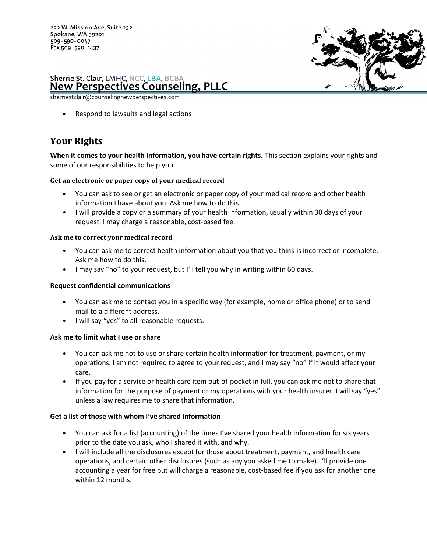

sherriestclair@counselingnewperspectives.com

• Respond to lawsuits and legal actions

## Your Rights

When it comes to your health information, you have certain rights. This section explains your rights and some of our responsibilities to help you.

#### Get an electronic or paper copy of your medical record

- You can ask to see or get an electronic or paper copy of your medical record and other health information I have about you. Ask me how to do this.
- I will provide a copy or a summary of your health information, usually within 30 days of your request. I may charge a reasonable, cost-based fee.

#### Ask me to correct your medical record

- You can ask me to correct health information about you that you think is incorrect or incomplete. Ask me how to do this.
- I may say "no" to your request, but I'll tell you why in writing within 60 days.

#### Request confidential communications

- You can ask me to contact you in a specific way (for example, home or office phone) or to send mail to a different address.
- I will say "yes" to all reasonable requests.

#### Ask me to limit what I use or share

- You can ask me not to use or share certain health information for treatment, payment, or my operations. I am not required to agree to your request, and I may say "no" if it would affect your care.
- If you pay for a service or health care item out-of-pocket in full, you can ask me not to share that information for the purpose of payment or my operations with your health insurer. I will say "yes" unless a law requires me to share that information.

#### Get a list of those with whom I've shared information

- You can ask for a list (accounting) of the times I've shared your health information for six years prior to the date you ask, who I shared it with, and why.
- I will include all the disclosures except for those about treatment, payment, and health care operations, and certain other disclosures (such as any you asked me to make). I'll provide one accounting a year for free but will charge a reasonable, cost-based fee if you ask for another one within 12 months.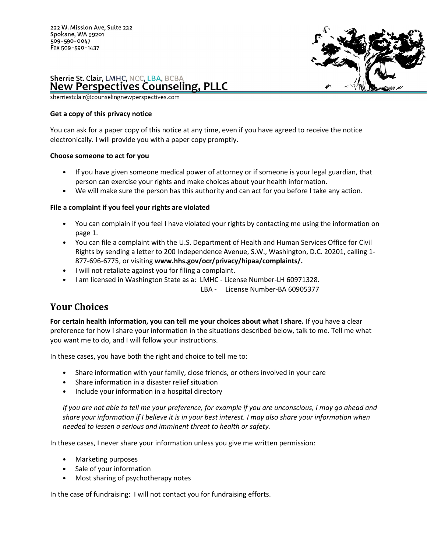

sherriestclair@counselingnewperspectives.com

#### Get a copy of this privacy notice

You can ask for a paper copy of this notice at any time, even if you have agreed to receive the notice electronically. I will provide you with a paper copy promptly.

#### Choose someone to act for you

- If you have given someone medical power of attorney or if someone is your legal guardian, that person can exercise your rights and make choices about your health information.
- We will make sure the person has this authority and can act for you before I take any action.

#### File a complaint if you feel your rights are violated

- You can complain if you feel I have violated your rights by contacting me using the information on page 1.
- You can file a complaint with the U.S. Department of Health and Human Services Office for Civil Rights by sending a letter to 200 Independence Avenue, S.W., Washington, D.C. 20201, calling 1- 877-696-6775, or visiting www.hhs.gov/ocr/privacy/hipaa/complaints/.
- I will not retaliate against you for filing a complaint.
- I am licensed in Washington State as a: LMHC License Number-LH 60971328.

LBA - License Number-BA 60905377

## Your Choices

For certain health information, you can tell me your choices about what I share. If you have a clear preference for how I share your information in the situations described below, talk to me. Tell me what you want me to do, and I will follow your instructions.

In these cases, you have both the right and choice to tell me to:

- Share information with your family, close friends, or others involved in your care
- Share information in a disaster relief situation
- Include your information in a hospital directory

If you are not able to tell me your preference, for example if you are unconscious, I may go ahead and share your information if I believe it is in your best interest. I may also share your information when needed to lessen a serious and imminent threat to health or safety.

In these cases, I never share your information unless you give me written permission:

- Marketing purposes
- Sale of your information
- Most sharing of psychotherapy notes

In the case of fundraising: I will not contact you for fundraising efforts.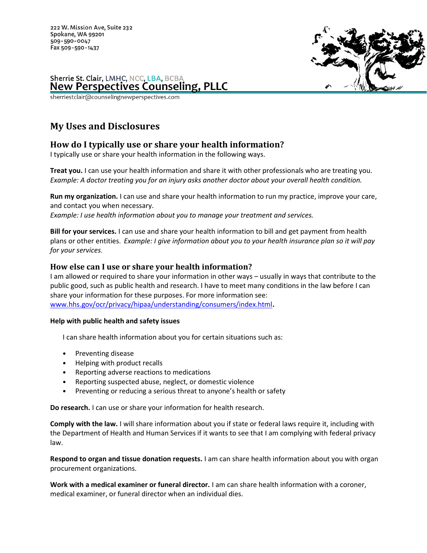

sherriestclair@counselingnewperspectives.com

## My Uses and Disclosures

### How do I typically use or share your health information?

I typically use or share your health information in the following ways.

**Treat you.** I can use your health information and share it with other professionals who are treating you. Example: A doctor treating you for an injury asks another doctor about your overall health condition.

Run my organization. I can use and share your health information to run my practice, improve your care, and contact you when necessary.

Example: I use health information about you to manage your treatment and services.

**Bill for your services.** I can use and share your health information to bill and get payment from health plans or other entities. Example: I give information about you to your health insurance plan so it will pay for your services.

#### How else can I use or share your health information?

I am allowed or required to share your information in other ways – usually in ways that contribute to the public good, such as public health and research. I have to meet many conditions in the law before I can share your information for these purposes. For more information see: www.hhs.gov/ocr/privacy/hipaa/understanding/consumers/index.html.

#### Help with public health and safety issues

I can share health information about you for certain situations such as:

- Preventing disease
- Helping with product recalls
- Reporting adverse reactions to medications
- Reporting suspected abuse, neglect, or domestic violence
- Preventing or reducing a serious threat to anyone's health or safety

Do research. I can use or share your information for health research.

Comply with the law. I will share information about you if state or federal laws require it, including with the Department of Health and Human Services if it wants to see that I am complying with federal privacy law.

Respond to organ and tissue donation requests. I am can share health information about you with organ procurement organizations.

Work with a medical examiner or funeral director. I am can share health information with a coroner, medical examiner, or funeral director when an individual dies.